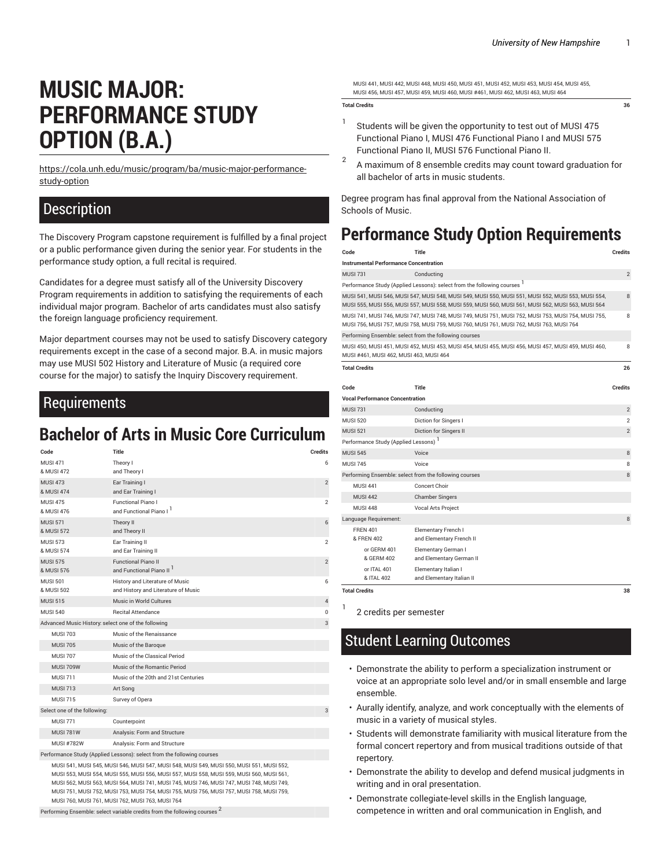# **MUSIC MAJOR: PERFORMANCE STUDY OPTION (B.A.)**

[https://cola.unh.edu/music/program/ba/music-major-performance](https://cola.unh.edu/music/program/ba/music-major-performance-study-option/)[study-option](https://cola.unh.edu/music/program/ba/music-major-performance-study-option/)

#### **Description**

The Discovery Program capstone requirement is fulfilled by a final project or a public performance given during the senior year. For students in the performance study option, a full recital is required.

Candidates for a degree must satisfy all of the University Discovery Program requirements in addition to satisfying the requirements of each individual major program. Bachelor of arts candidates must also satisfy the foreign language proficiency requirement.

Major department courses may not be used to satisfy Discovery category requirements except in the case of a second major. B.A. in music majors may use MUSI 502 History and Literature of Music (a required core course for the major) to satisfy the Inquiry Discovery requirement.

### Requirements

## **Bachelor of Arts in Music Core Curriculum**

| Code                                                     | Title                                                                  | <b>Credits</b> |
|----------------------------------------------------------|------------------------------------------------------------------------|----------------|
| <b>MUSI 471</b>                                          | Theory I                                                               | 6              |
| & MUSI 472                                               | and Theory I                                                           |                |
| <b>MUSI 473</b>                                          | Ear Training I                                                         | $\overline{2}$ |
| & MUSI 474                                               | and Ear Training I                                                     |                |
| <b>MUSI 475</b><br>& MUSI 476                            | <b>Functional Piano I</b><br>and Functional Piano I                    | $\overline{2}$ |
| <b>MUSI 571</b><br>& MUSI 572                            | Theory II<br>and Theory II                                             | 6              |
| <b>MUSI 573</b>                                          | Ear Training II                                                        | $\overline{2}$ |
| & MUSI 574                                               | and Ear Training II                                                    |                |
| <b>MUSI 575</b>                                          | <b>Functional Piano II</b>                                             | $\overline{2}$ |
| & MUSI 576                                               | and Functional Piano II <sup>1</sup>                                   |                |
| <b>MUSI 501</b>                                          | History and Literature of Music                                        | 6              |
| & MUSI 502                                               | and History and Literature of Music                                    |                |
| <b>MUSI 515</b>                                          | Music in World Cultures                                                | $\overline{4}$ |
| <b>MUSI 540</b>                                          | <b>Recital Attendance</b>                                              | $\bf{0}$       |
| Advanced Music History: select one of the following<br>3 |                                                                        |                |
| <b>MUSI 703</b>                                          | Music of the Renaissance                                               |                |
| <b>MUSI 705</b>                                          | Music of the Baroque                                                   |                |
| <b>MUSI 707</b>                                          | Music of the Classical Period                                          |                |
| <b>MUSI 709W</b>                                         | Music of the Romantic Period                                           |                |
| <b>MUSI 711</b>                                          | Music of the 20th and 21st Centuries                                   |                |
| <b>MUSI 713</b>                                          | Art Song                                                               |                |
| <b>MUSI 715</b>                                          | Survey of Opera                                                        |                |
| Select one of the following:                             |                                                                        | 3              |
| <b>MUSI 771</b>                                          | Counterpoint                                                           |                |
| <b>MUSI 781W</b>                                         | Analysis: Form and Structure                                           |                |
| <b>MUSI #782W</b>                                        | Analysis: Form and Structure                                           |                |
|                                                          | Performance Study (Applied Lessons): select from the following courses |                |

MUSI 541, MUSI 545, MUSI 546, MUSI 547, MUSI 548, MUSI 549, MUSI 550, MUSI 551, MUSI 552, MUSI 553, MUSI 554, MUSI 555, MUSI 556, MUSI 557, MUSI 558, MUSI 559, MUSI 560, MUSI 561, MUSI 562, MUSI 563, MUSI 564, MUSI 741, MUSI 745, MUSI 746, MUSI 747, MUSI 748, MUSI 749, MUSI 751, MUSI 752, MUSI 753, MUSI 754, MUSI 755, MUSI 756, MUSI 757, MUSI 758, MUSI 759, MUSI 760, MUSI 761, MUSI 762, MUSI 763, MUSI 764

Performing Ensemble: select variable credits from the following courses 2

MUSI 441, MUSI 442, MUSI 448, MUSI 450, MUSI 451, MUSI 452, MUSI 453, MUSI 454, MUSI 455, MUSI 456, MUSI 457, MUSI 459, MUSI 460, MUSI #461, MUSI 462, MUSI 463, MUSI 464

#### **Total Credits 36**

- 1 Students will be given the opportunity to test out of MUSI 475 Functional Piano I, MUSI 476 Functional Piano I and MUSI 575 Functional Piano II, MUSI 576 Functional Piano II.
- 2 A maximum of 8 ensemble credits may count toward graduation for all bachelor of arts in music students.

Degree program has final approval from the National Association of Schools of Music.

## **Performance Study Option Requirements**

| Code                                                                                                                                                                                                      | Title                                                                    | <b>Credits</b> |  |
|-----------------------------------------------------------------------------------------------------------------------------------------------------------------------------------------------------------|--------------------------------------------------------------------------|----------------|--|
| <b>Instrumental Performance Concentration</b>                                                                                                                                                             |                                                                          |                |  |
| <b>MUSI 731</b>                                                                                                                                                                                           | Conducting                                                               | $\overline{2}$ |  |
|                                                                                                                                                                                                           | Performance Study (Applied Lessons): select from the following courses 1 |                |  |
| MUSI 541, MUSI 546, MUSI 547, MUSI 548, MUSI 549, MUSI 550, MUSI 551, MUSI 552, MUSI 553, MUSI 554,<br>MUSI 555, MUSI 556, MUSI 557, MUSI 558, MUSI 559, MUSI 560, MUSI 561, MUSI 562, MUSI 563, MUSI 564 |                                                                          |                |  |
| MUSI 741, MUSI 746, MUSI 747, MUSI 748, MUSI 749, MUSI 751, MUSI 752, MUSI 753, MUSI 754, MUSI 755,<br>MUSI 756, MUSI 757, MUSI 758, MUSI 759, MUSI 760, MUSI 761, MUSI 762, MUSI 763, MUSI 764           |                                                                          |                |  |
| Performing Ensemble: select from the following courses                                                                                                                                                    |                                                                          |                |  |
| MUSI 450, MUSI 451, MUSI 452, MUSI 453, MUSI 454, MUSI 455, MUSI 456, MUSI 457, MUSI 459, MUSI 460,<br>MUSI #461, MUSI 462, MUSI 463, MUSI 464                                                            |                                                                          |                |  |
| <b>Total Credits</b>                                                                                                                                                                                      |                                                                          | 26             |  |
| Code                                                                                                                                                                                                      | <b>Title</b>                                                             | <b>Credits</b> |  |
| <b>Vocal Performance Concentration</b>                                                                                                                                                                    |                                                                          |                |  |
| <b>MUSI 731</b>                                                                                                                                                                                           | Conducting                                                               | $\overline{2}$ |  |
| <b>MUSI 520</b>                                                                                                                                                                                           | Diction for Singers I                                                    | $\overline{2}$ |  |
| <b>MUSI 521</b>                                                                                                                                                                                           | Diction for Singers II                                                   | $\overline{2}$ |  |
| Performance Study (Applied Lessons) <sup>1</sup>                                                                                                                                                          |                                                                          |                |  |
| <b>MUSI 545</b>                                                                                                                                                                                           | Voice                                                                    | 8              |  |
| <b>MUSI 745</b>                                                                                                                                                                                           | Voice                                                                    | 8              |  |
| Performing Ensemble: select from the following courses                                                                                                                                                    |                                                                          | 8              |  |
| <b>MUSI 441</b>                                                                                                                                                                                           | Concert Choir                                                            |                |  |
| <b>MUSI 442</b>                                                                                                                                                                                           | <b>Chamber Singers</b>                                                   |                |  |
| <b>MUSI 448</b>                                                                                                                                                                                           | Vocal Arts Project                                                       |                |  |
| Language Requirement:                                                                                                                                                                                     |                                                                          | 8              |  |
| <b>FREN 401</b><br>& FREN 402                                                                                                                                                                             | Elementary French I<br>and Elementary French II                          |                |  |
| or GERM 401<br>& GERM 402                                                                                                                                                                                 | Elementary German I<br>and Elementary German II                          |                |  |
| or ITAL 401<br>& ITAL 402                                                                                                                                                                                 | Elementary Italian I<br>and Elementary Italian II                        |                |  |
| <b>Total Credits</b>                                                                                                                                                                                      |                                                                          | 38             |  |

1

2 credits per semester

## Student Learning Outcomes

- Demonstrate the ability to perform a specialization instrument or voice at an appropriate solo level and/or in small ensemble and large ensemble.
- Aurally identify, analyze, and work conceptually with the elements of music in a variety of musical styles.
- Students will demonstrate familiarity with musical literature from the formal concert repertory and from musical traditions outside of that repertory.
- Demonstrate the ability to develop and defend musical judgments in writing and in oral presentation.
- Demonstrate collegiate-level skills in the English language, competence in written and oral communication in English, and